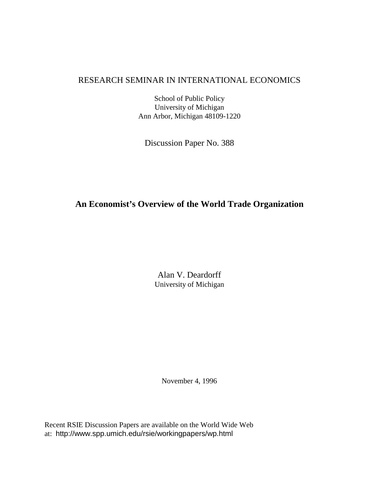# RESEARCH SEMINAR IN INTERNATIONAL ECONOMICS

School of Public Policy University of Michigan Ann Arbor, Michigan 48109-1220

Discussion Paper No. 388

# **An Economist's Overview of the World Trade Organization**

Alan V. Deardorff University of Michigan

November 4, 1996

Recent RSIE Discussion Papers are available on the World Wide Web at: http://www.spp.umich.edu/rsie/workingpapers/wp.html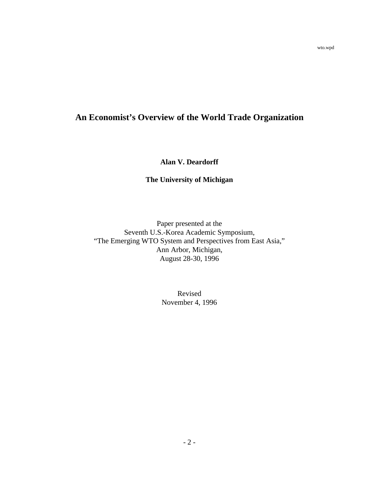# **An Economist's Overview of the World Trade Organization**

**Alan V. Deardorff**

## **The University of Michigan**

Paper presented at the Seventh U.S.-Korea Academic Symposium, "The Emerging WTO System and Perspectives from East Asia," Ann Arbor, Michigan, August 28-30, 1996

> Revised November 4, 1996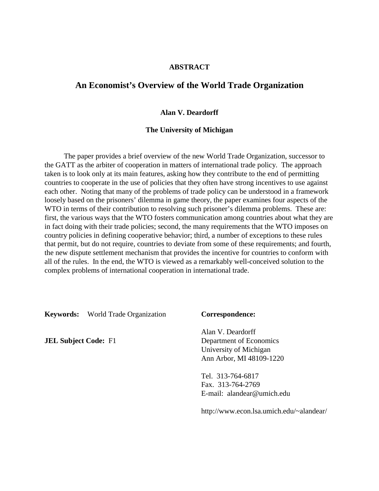#### **ABSTRACT**

## **An Economist's Overview of the World Trade Organization**

#### **Alan V. Deardorff**

#### **The University of Michigan**

The paper provides a brief overview of the new World Trade Organization, successor to the GATT as the arbiter of cooperation in matters of international trade policy. The approach taken is to look only at its main features, asking how they contribute to the end of permitting countries to cooperate in the use of policies that they often have strong incentives to use against each other. Noting that many of the problems of trade policy can be understood in a framework loosely based on the prisoners' dilemma in game theory, the paper examines four aspects of the WTO in terms of their contribution to resolving such prisoner's dilemma problems. These are: first, the various ways that the WTO fosters communication among countries about what they are in fact doing with their trade policies; second, the many requirements that the WTO imposes on country policies in defining cooperative behavior; third, a number of exceptions to these rules that permit, but do not require, countries to deviate from some of these requirements; and fourth, the new dispute settlement mechanism that provides the incentive for countries to conform with all of the rules. In the end, the WTO is viewed as a remarkably well-conceived solution to the complex problems of international cooperation in international trade.

**Keywords:** World Trade Organization **Correspondence:**

Alan V. Deardorff **JEL Subject Code:** F1 Department of Economics University of Michigan Ann Arbor, MI 48109-1220

> Tel. 313-764-6817 Fax. 313-764-2769 E-mail: alandear@umich.edu

http://www.econ.lsa.umich.edu/~alandear/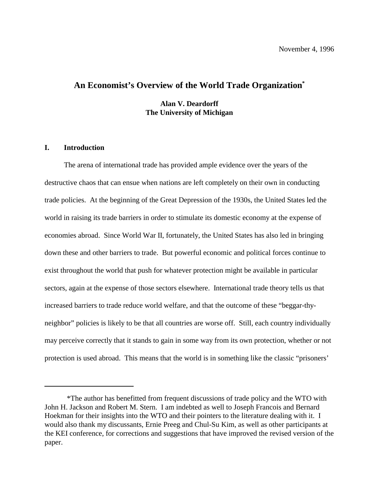# **An Economist's Overview of the World Trade Organization\***

**Alan V. Deardorff The University of Michigan**

#### **I. Introduction**

The arena of international trade has provided ample evidence over the years of the destructive chaos that can ensue when nations are left completely on their own in conducting trade policies. At the beginning of the Great Depression of the 1930s, the United States led the world in raising its trade barriers in order to stimulate its domestic economy at the expense of economies abroad. Since World War II, fortunately, the United States has also led in bringing down these and other barriers to trade. But powerful economic and political forces continue to exist throughout the world that push for whatever protection might be available in particular sectors, again at the expense of those sectors elsewhere. International trade theory tells us that increased barriers to trade reduce world welfare, and that the outcome of these "beggar-thyneighbor" policies is likely to be that all countries are worse off. Still, each country individually may perceive correctly that it stands to gain in some way from its own protection, whether or not protection is used abroad. This means that the world is in something like the classic "prisoners'

<sup>\*</sup>The author has benefitted from frequent discussions of trade policy and the WTO with John H. Jackson and Robert M. Stern. I am indebted as well to Joseph Francois and Bernard Hoekman for their insights into the WTO and their pointers to the literature dealing with it. I would also thank my discussants, Ernie Preeg and Chul-Su Kim, as well as other participants at the KEI conference, for corrections and suggestions that have improved the revised version of the paper.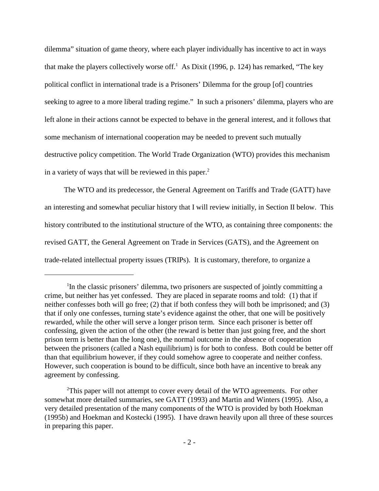dilemma" situation of game theory, where each player individually has incentive to act in ways that make the players collectively worse of f.<sup>1</sup> As Dixit (1996, p. 124) has remarked, "The key political conflict in international trade is a Prisoners' Dilemma for the group [of] countries seeking to agree to a more liberal trading regime." In such a prisoners' dilemma, players who are left alone in their actions cannot be expected to behave in the general interest, and it follows that some mechanism of international cooperation may be needed to prevent such mutually destructive policy competition. The World Trade Organization (WTO) provides this mechanism in a variety of ways that will be reviewed in this paper. $<sup>2</sup>$ </sup>

The WTO and its predecessor, the General Agreement on Tariffs and Trade (GATT) have an interesting and somewhat peculiar history that I will review initially, in Section II below. This history contributed to the institutional structure of the WTO, as containing three components: the revised GATT, the General Agreement on Trade in Services (GATS), and the Agreement on trade-related intellectual property issues (TRIPs). It is customary, therefore, to organize a

 ${}^{1}$ In the classic prisoners' dilemma, two prisoners are suspected of jointly committing a crime, but neither has yet confessed. They are placed in separate rooms and told: (1) that if neither confesses both will go free; (2) that if both confess they will both be imprisoned; and (3) that if only one confesses, turning state's evidence against the other, that one will be positively rewarded, while the other will serve a longer prison term. Since each prisoner is better off confessing, given the action of the other (the reward is better than just going free, and the short prison term is better than the long one), the normal outcome in the absence of cooperation between the prisoners (called a Nash equilibrium) is for both to confess. Both could be better off than that equilibrium however, if they could somehow agree to cooperate and neither confess. However, such cooperation is bound to be difficult, since both have an incentive to break any agreement by confessing.

<sup>&</sup>lt;sup>2</sup>This paper will not attempt to cover every detail of the WTO agreements. For other somewhat more detailed summaries, see GATT (1993) and Martin and Winters (1995). Also, a very detailed presentation of the many components of the WTO is provided by both Hoekman (1995b) and Hoekman and Kostecki (1995). I have drawn heavily upon all three of these sources in preparing this paper.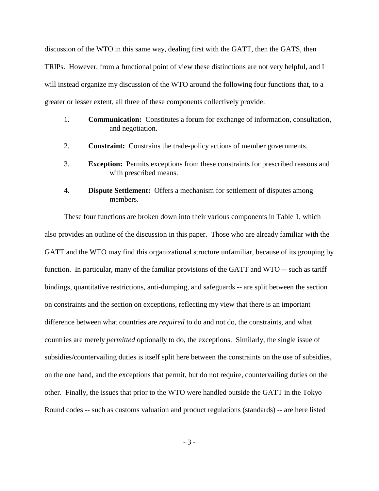discussion of the WTO in this same way, dealing first with the GATT, then the GATS, then TRIPs. However, from a functional point of view these distinctions are not very helpful, and I will instead organize my discussion of the WTO around the following four functions that, to a greater or lesser extent, all three of these components collectively provide:

- 1. **Communication:** Constitutes a forum for exchange of information, consultation, and negotiation.
- 2. **Constraint:** Constrains the trade-policy actions of member governments.
- 3. **Exception:** Permits exceptions from these constraints for prescribed reasons and with prescribed means.
- 4. **Dispute Settlement:** Offers a mechanism for settlement of disputes among members.

These four functions are broken down into their various components in Table 1, which also provides an outline of the discussion in this paper. Those who are already familiar with the GATT and the WTO may find this organizational structure unfamiliar, because of its grouping by function. In particular, many of the familiar provisions of the GATT and WTO -- such as tariff bindings, quantitative restrictions, anti-dumping, and safeguards -- are split between the section on constraints and the section on exceptions, reflecting my view that there is an important difference between what countries are *required* to do and not do, the constraints, and what countries are merely *permitted* optionally to do, the exceptions. Similarly, the single issue of subsidies/countervailing duties is itself split here between the constraints on the use of subsidies, on the one hand, and the exceptions that permit, but do not require, countervailing duties on the other. Finally, the issues that prior to the WTO were handled outside the GATT in the Tokyo Round codes -- such as customs valuation and product regulations (standards) -- are here listed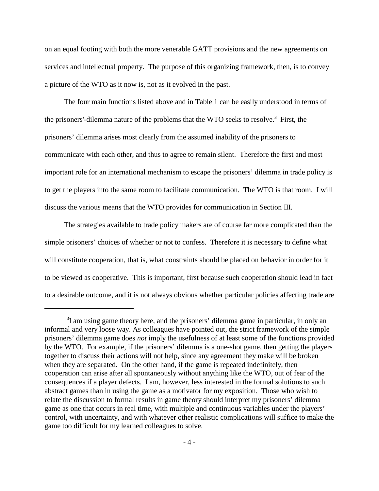on an equal footing with both the more venerable GATT provisions and the new agreements on services and intellectual property. The purpose of this organizing framework, then, is to convey a picture of the WTO as it now is, not as it evolved in the past.

The four main functions listed above and in Table 1 can be easily understood in terms of the prisoners'-dilemma nature of the problems that the WTO seeks to resolve.<sup>3</sup> First, the prisoners' dilemma arises most clearly from the assumed inability of the prisoners to communicate with each other, and thus to agree to remain silent. Therefore the first and most important role for an international mechanism to escape the prisoners' dilemma in trade policy is to get the players into the same room to facilitate communication. The WTO is that room. I will discuss the various means that the WTO provides for communication in Section III.

The strategies available to trade policy makers are of course far more complicated than the simple prisoners' choices of whether or not to confess. Therefore it is necessary to define what will constitute cooperation, that is, what constraints should be placed on behavior in order for it to be viewed as cooperative. This is important, first because such cooperation should lead in fact to a desirable outcome, and it is not always obvious whether particular policies affecting trade are

 ${}^{3}$ I am using game theory here, and the prisoners' dilemma game in particular, in only an informal and very loose way. As colleagues have pointed out, the strict framework of the simple prisoners' dilemma game does *not* imply the usefulness of at least some of the functions provided by the WTO. For example, if the prisoners' dilemma is a one-shot game, then getting the players together to discuss their actions will not help, since any agreement they make will be broken when they are separated. On the other hand, if the game is repeated indefinitely, then cooperation can arise after all spontaneously without anything like the WTO, out of fear of the consequences if a player defects. I am, however, less interested in the formal solutions to such abstract games than in using the game as a motivator for my exposition. Those who wish to relate the discussion to formal results in game theory should interpret my prisoners' dilemma game as one that occurs in real time, with multiple and continuous variables under the players' control, with uncertainty, and with whatever other realistic complications will suffice to make the game too difficult for my learned colleagues to solve.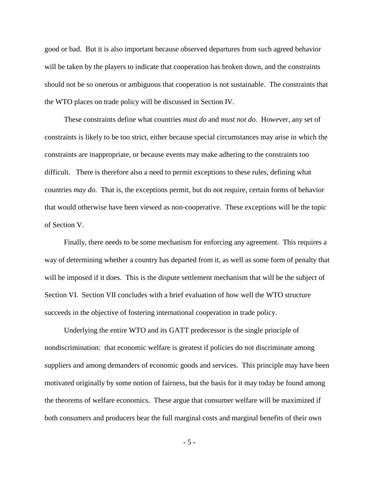good or bad. But it is also important because observed departures from such agreed behavior will be taken by the players to indicate that cooperation has broken down, and the constraints should not be so onerous or ambiguous that cooperation is not sustainable. The constraints that the WTO places on trade policy will be discussed in Section IV.

These constraints define what countries *must do* and *must not do*. However, any set of constraints is likely to be too strict, either because special circumstances may arise in which the constraints are inappropriate, or because events may make adhering to the constraints too difficult. There is therefore also a need to permit exceptions to these rules, defining what countries *may do*. That is, the exceptions permit, but do not require, certain forms of behavior that would otherwise have been viewed as non-cooperative. These exceptions will be the topic of Section V.

Finally, there needs to be some mechanism for enforcing any agreement. This requires a way of determining whether a country has departed from it, as well as some form of penalty that will be imposed if it does. This is the dispute settlement mechanism that will be the subject of Section VI. Section VII concludes with a brief evaluation of how well the WTO structure succeeds in the objective of fostering international cooperation in trade policy.

Underlying the entire WTO and its GATT predecessor is the single principle of nondiscrimination: that economic welfare is greatest if policies do not discriminate among suppliers and among demanders of economic goods and services. This principle may have been motivated originally by some notion of fairness, but the basis for it may today be found among the theorems of welfare economics. These argue that consumer welfare will be maximized if both consumers and producers bear the full marginal costs and marginal benefits of their own

- 5 -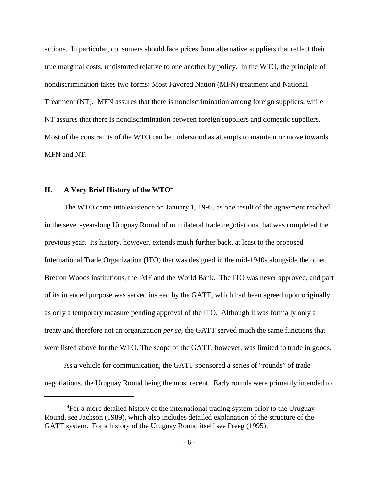actions. In particular, consumers should face prices from alternative suppliers that reflect their true marginal costs, undistorted relative to one another by policy. In the WTO, the principle of nondiscrimination takes two forms: Most Favored Nation (MFN) treatment and National Treatment (NT). MFN assures that there is nondiscrimination among foreign suppliers, while NT assures that there is nondiscrimination between foreign suppliers and domestic suppliers. Most of the constraints of the WTO can be understood as attempts to maintain or move towards MFN and NT.

#### **II. A Very Brief History of the WTO4**

The WTO came into existence on January 1, 1995, as one result of the agreement reached in the seven-year-long Uruguay Round of multilateral trade negotiations that was completed the previous year. Its history, however, extends much further back, at least to the proposed International Trade Organization (ITO) that was designed in the mid-1940s alongside the other Bretton Woods institutions, the IMF and the World Bank. The ITO was never approved, and part of its intended purpose was served instead by the GATT, which had been agreed upon originally as only a temporary measure pending approval of the ITO. Although it was formally only a treaty and therefore not an organization *per se*, the GATT served much the same functions that were listed above for the WTO. The scope of the GATT, however, was limited to trade in goods.

As a vehicle for communication, the GATT sponsored a series of "rounds" of trade negotiations, the Uruguay Round being the most recent. Early rounds were primarily intended to

<sup>&</sup>lt;sup>4</sup>For a more detailed history of the international trading system prior to the Uruguay Round, see Jackson (1989), which also includes detailed explanation of the structure of the GATT system. For a history of the Uruguay Round itself see Preeg (1995).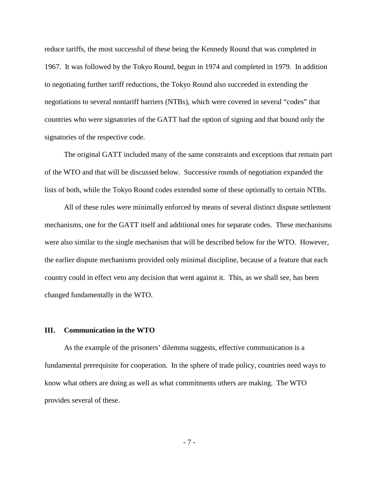reduce tariffs, the most successful of these being the Kennedy Round that was completed in 1967. It was followed by the Tokyo Round, begun in 1974 and completed in 1979. In addition to negotiating further tariff reductions, the Tokyo Round also succeeded in extending the negotiations to several nontariff barriers (NTBs), which were covered in several "codes" that countries who were signatories of the GATT had the option of signing and that bound only the signatories of the respective code.

The original GATT included many of the same constraints and exceptions that remain part of the WTO and that will be discussed below. Successive rounds of negotiation expanded the lists of both, while the Tokyo Round codes extended some of these optionally to certain NTBs.

All of these rules were minimally enforced by means of several distinct dispute settlement mechanisms, one for the GATT itself and additional ones for separate codes. These mechanisms were also similar to the single mechanism that will be described below for the WTO. However, the earlier dispute mechanisms provided only minimal discipline, because of a feature that each country could in effect veto any decision that went against it. This, as we shall see, has been changed fundamentally in the WTO.

#### **III. Communication in the WTO**

As the example of the prisoners' dilemma suggests, effective communication is a fundamental prerequisite for cooperation. In the sphere of trade policy, countries need ways to know what others are doing as well as what commitments others are making. The WTO provides several of these.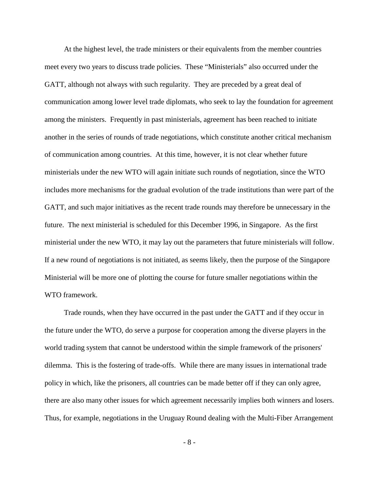At the highest level, the trade ministers or their equivalents from the member countries meet every two years to discuss trade policies. These "Ministerials" also occurred under the GATT, although not always with such regularity. They are preceded by a great deal of communication among lower level trade diplomats, who seek to lay the foundation for agreement among the ministers. Frequently in past ministerials, agreement has been reached to initiate another in the series of rounds of trade negotiations, which constitute another critical mechanism of communication among countries. At this time, however, it is not clear whether future ministerials under the new WTO will again initiate such rounds of negotiation, since the WTO includes more mechanisms for the gradual evolution of the trade institutions than were part of the GATT, and such major initiatives as the recent trade rounds may therefore be unnecessary in the future. The next ministerial is scheduled for this December 1996, in Singapore. As the first ministerial under the new WTO, it may lay out the parameters that future ministerials will follow. If a new round of negotiations is not initiated, as seems likely, then the purpose of the Singapore Ministerial will be more one of plotting the course for future smaller negotiations within the WTO framework.

Trade rounds, when they have occurred in the past under the GATT and if they occur in the future under the WTO, do serve a purpose for cooperation among the diverse players in the world trading system that cannot be understood within the simple framework of the prisoners' dilemma. This is the fostering of trade-offs. While there are many issues in international trade policy in which, like the prisoners, all countries can be made better off if they can only agree, there are also many other issues for which agreement necessarily implies both winners and losers. Thus, for example, negotiations in the Uruguay Round dealing with the Multi-Fiber Arrangement

- 8 -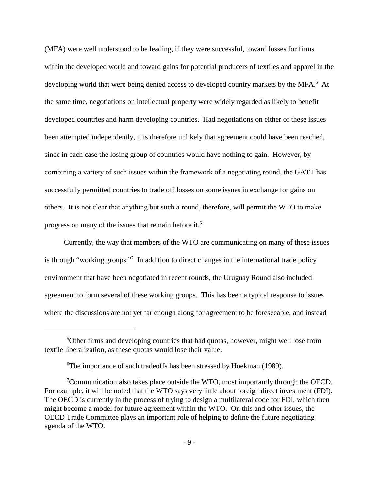(MFA) were well understood to be leading, if they were successful, toward losses for firms within the developed world and toward gains for potential producers of textiles and apparel in the developing world that were being denied access to developed country markets by the MFA.<sup>5</sup> At the same time, negotiations on intellectual property were widely regarded as likely to benefit developed countries and harm developing countries. Had negotiations on either of these issues been attempted independently, it is therefore unlikely that agreement could have been reached, since in each case the losing group of countries would have nothing to gain. However, by combining a variety of such issues within the framework of a negotiating round, the GATT has successfully permitted countries to trade off losses on some issues in exchange for gains on others. It is not clear that anything but such a round, therefore, will permit the WTO to make progress on many of the issues that remain before it.<sup>6</sup>

Currently, the way that members of the WTO are communicating on many of these issues is through "working groups."<sup>7</sup> In addition to direct changes in the international trade policy environment that have been negotiated in recent rounds, the Uruguay Round also included agreement to form several of these working groups. This has been a typical response to issues where the discussions are not yet far enough along for agreement to be foreseeable, and instead

 $5$ Other firms and developing countries that had quotas, however, might well lose from textile liberalization, as these quotas would lose their value.

<sup>&</sup>lt;sup>6</sup>The importance of such tradeoffs has been stressed by Hoekman (1989).

Communication also takes place outside the WTO, most importantly through the OECD. For example, it will be noted that the WTO says very little about foreign direct investment (FDI). The OECD is currently in the process of trying to design a multilateral code for FDI, which then might become a model for future agreement within the WTO. On this and other issues, the OECD Trade Committee plays an important role of helping to define the future negotiating agenda of the WTO.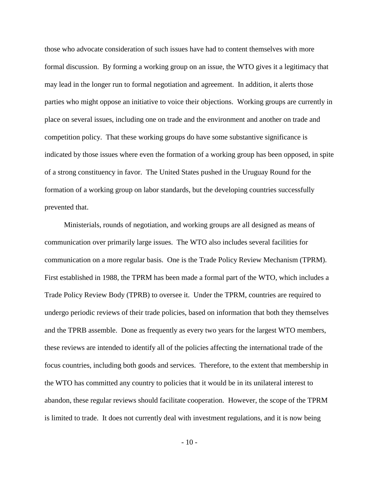those who advocate consideration of such issues have had to content themselves with more formal discussion. By forming a working group on an issue, the WTO gives it a legitimacy that may lead in the longer run to formal negotiation and agreement. In addition, it alerts those parties who might oppose an initiative to voice their objections. Working groups are currently in place on several issues, including one on trade and the environment and another on trade and competition policy. That these working groups do have some substantive significance is indicated by those issues where even the formation of a working group has been opposed, in spite of a strong constituency in favor. The United States pushed in the Uruguay Round for the formation of a working group on labor standards, but the developing countries successfully prevented that.

Ministerials, rounds of negotiation, and working groups are all designed as means of communication over primarily large issues. The WTO also includes several facilities for communication on a more regular basis. One is the Trade Policy Review Mechanism (TPRM). First established in 1988, the TPRM has been made a formal part of the WTO, which includes a Trade Policy Review Body (TPRB) to oversee it. Under the TPRM, countries are required to undergo periodic reviews of their trade policies, based on information that both they themselves and the TPRB assemble. Done as frequently as every two years for the largest WTO members, these reviews are intended to identify all of the policies affecting the international trade of the focus countries, including both goods and services. Therefore, to the extent that membership in the WTO has committed any country to policies that it would be in its unilateral interest to abandon, these regular reviews should facilitate cooperation. However, the scope of the TPRM is limited to trade. It does not currently deal with investment regulations, and it is now being

 $-10-$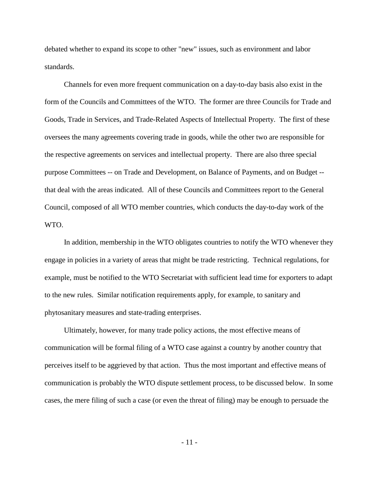debated whether to expand its scope to other "new" issues, such as environment and labor standards.

Channels for even more frequent communication on a day-to-day basis also exist in the form of the Councils and Committees of the WTO. The former are three Councils for Trade and Goods, Trade in Services, and Trade-Related Aspects of Intellectual Property. The first of these oversees the many agreements covering trade in goods, while the other two are responsible for the respective agreements on services and intellectual property. There are also three special purpose Committees -- on Trade and Development, on Balance of Payments, and on Budget - that deal with the areas indicated. All of these Councils and Committees report to the General Council, composed of all WTO member countries, which conducts the day-to-day work of the WTO.

In addition, membership in the WTO obligates countries to notify the WTO whenever they engage in policies in a variety of areas that might be trade restricting. Technical regulations, for example, must be notified to the WTO Secretariat with sufficient lead time for exporters to adapt to the new rules. Similar notification requirements apply, for example, to sanitary and phytosanitary measures and state-trading enterprises.

Ultimately, however, for many trade policy actions, the most effective means of communication will be formal filing of a WTO case against a country by another country that perceives itself to be aggrieved by that action. Thus the most important and effective means of communication is probably the WTO dispute settlement process, to be discussed below. In some cases, the mere filing of such a case (or even the threat of filing) may be enough to persuade the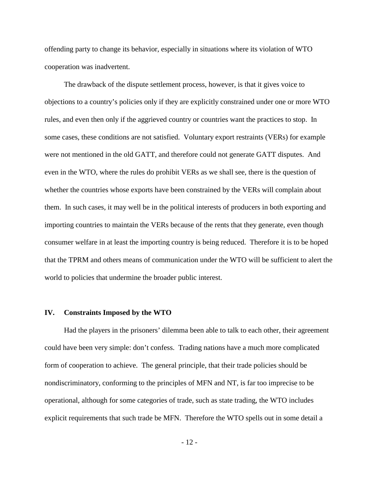offending party to change its behavior, especially in situations where its violation of WTO cooperation was inadvertent.

The drawback of the dispute settlement process, however, is that it gives voice to objections to a country's policies only if they are explicitly constrained under one or more WTO rules, and even then only if the aggrieved country or countries want the practices to stop. In some cases, these conditions are not satisfied. Voluntary export restraints (VERs) for example were not mentioned in the old GATT, and therefore could not generate GATT disputes. And even in the WTO, where the rules do prohibit VERs as we shall see, there is the question of whether the countries whose exports have been constrained by the VERs will complain about them. In such cases, it may well be in the political interests of producers in both exporting and importing countries to maintain the VERs because of the rents that they generate, even though consumer welfare in at least the importing country is being reduced. Therefore it is to be hoped that the TPRM and others means of communication under the WTO will be sufficient to alert the world to policies that undermine the broader public interest.

#### **IV. Constraints Imposed by the WTO**

Had the players in the prisoners' dilemma been able to talk to each other, their agreement could have been very simple: don't confess. Trading nations have a much more complicated form of cooperation to achieve. The general principle, that their trade policies should be nondiscriminatory, conforming to the principles of MFN and NT, is far too imprecise to be operational, although for some categories of trade, such as state trading, the WTO includes explicit requirements that such trade be MFN. Therefore the WTO spells out in some detail a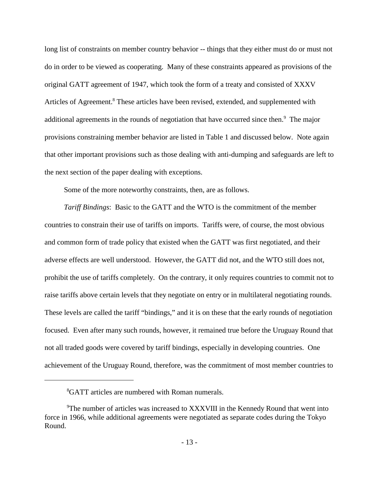long list of constraints on member country behavior -- things that they either must do or must not do in order to be viewed as cooperating. Many of these constraints appeared as provisions of the original GATT agreement of 1947, which took the form of a treaty and consisted of XXXV Articles of Agreement.<sup>8</sup> These articles have been revised, extended, and supplemented with additional agreements in the rounds of negotiation that have occurred since then.<sup>9</sup> The major provisions constraining member behavior are listed in Table 1 and discussed below. Note again that other important provisions such as those dealing with anti-dumping and safeguards are left to the next section of the paper dealing with exceptions.

Some of the more noteworthy constraints, then, are as follows.

*Tariff Bindings*: Basic to the GATT and the WTO is the commitment of the member countries to constrain their use of tariffs on imports. Tariffs were, of course, the most obvious and common form of trade policy that existed when the GATT was first negotiated, and their adverse effects are well understood. However, the GATT did not, and the WTO still does not, prohibit the use of tariffs completely. On the contrary, it only requires countries to commit not to raise tariffs above certain levels that they negotiate on entry or in multilateral negotiating rounds. These levels are called the tariff "bindings," and it is on these that the early rounds of negotiation focused. Even after many such rounds, however, it remained true before the Uruguay Round that not all traded goods were covered by tariff bindings, especially in developing countries. One achievement of the Uruguay Round, therefore, was the commitment of most member countries to

<sup>&</sup>lt;sup>8</sup>GATT articles are numbered with Roman numerals.

<sup>&</sup>lt;sup>9</sup>The number of articles was increased to XXXVIII in the Kennedy Round that went into force in 1966, while additional agreements were negotiated as separate codes during the Tokyo Round.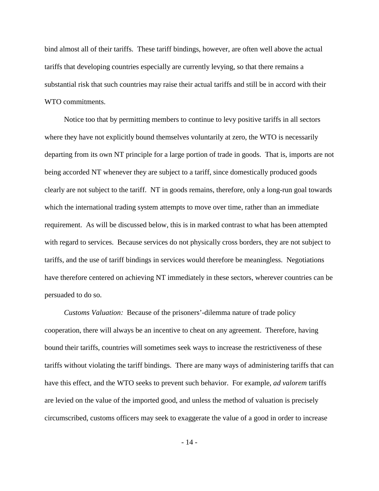bind almost all of their tariffs. These tariff bindings, however, are often well above the actual tariffs that developing countries especially are currently levying, so that there remains a substantial risk that such countries may raise their actual tariffs and still be in accord with their WTO commitments.

Notice too that by permitting members to continue to levy positive tariffs in all sectors where they have not explicitly bound themselves voluntarily at zero, the WTO is necessarily departing from its own NT principle for a large portion of trade in goods. That is, imports are not being accorded NT whenever they are subject to a tariff, since domestically produced goods clearly are not subject to the tariff. NT in goods remains, therefore, only a long-run goal towards which the international trading system attempts to move over time, rather than an immediate requirement. As will be discussed below, this is in marked contrast to what has been attempted with regard to services. Because services do not physically cross borders, they are not subject to tariffs, and the use of tariff bindings in services would therefore be meaningless. Negotiations have therefore centered on achieving NT immediately in these sectors, wherever countries can be persuaded to do so.

*Customs Valuation:* Because of the prisoners'-dilemma nature of trade policy cooperation, there will always be an incentive to cheat on any agreement. Therefore, having bound their tariffs, countries will sometimes seek ways to increase the restrictiveness of these tariffs without violating the tariff bindings. There are many ways of administering tariffs that can have this effect, and the WTO seeks to prevent such behavior. For example, *ad valorem* tariffs are levied on the value of the imported good, and unless the method of valuation is precisely circumscribed, customs officers may seek to exaggerate the value of a good in order to increase

- 14 -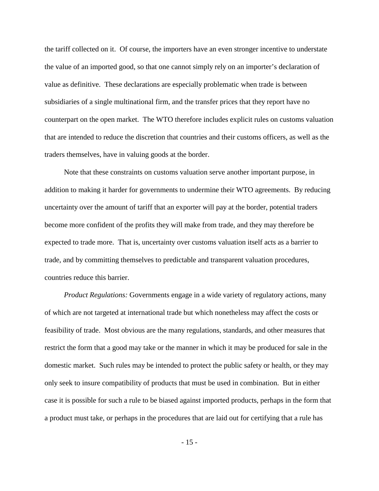the tariff collected on it. Of course, the importers have an even stronger incentive to understate the value of an imported good, so that one cannot simply rely on an importer's declaration of value as definitive. These declarations are especially problematic when trade is between subsidiaries of a single multinational firm, and the transfer prices that they report have no counterpart on the open market. The WTO therefore includes explicit rules on customs valuation that are intended to reduce the discretion that countries and their customs officers, as well as the traders themselves, have in valuing goods at the border.

Note that these constraints on customs valuation serve another important purpose, in addition to making it harder for governments to undermine their WTO agreements. By reducing uncertainty over the amount of tariff that an exporter will pay at the border, potential traders become more confident of the profits they will make from trade, and they may therefore be expected to trade more. That is, uncertainty over customs valuation itself acts as a barrier to trade, and by committing themselves to predictable and transparent valuation procedures, countries reduce this barrier.

*Product Regulations:* Governments engage in a wide variety of regulatory actions, many of which are not targeted at international trade but which nonetheless may affect the costs or feasibility of trade. Most obvious are the many regulations, standards, and other measures that restrict the form that a good may take or the manner in which it may be produced for sale in the domestic market. Such rules may be intended to protect the public safety or health, or they may only seek to insure compatibility of products that must be used in combination. But in either case it is possible for such a rule to be biased against imported products, perhaps in the form that a product must take, or perhaps in the procedures that are laid out for certifying that a rule has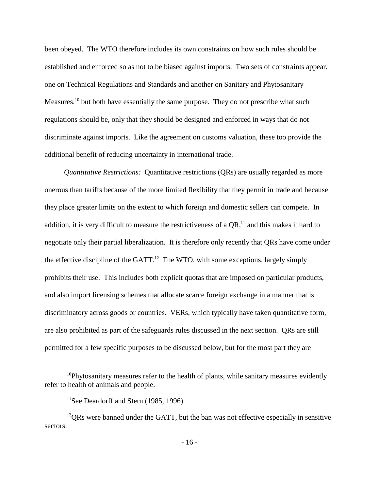been obeyed. The WTO therefore includes its own constraints on how such rules should be established and enforced so as not to be biased against imports. Two sets of constraints appear, one on Technical Regulations and Standards and another on Sanitary and Phytosanitary Measures,  $\frac{10}{10}$  but both have essentially the same purpose. They do not prescribe what such regulations should be, only that they should be designed and enforced in ways that do not discriminate against imports. Like the agreement on customs valuation, these too provide the additional benefit of reducing uncertainty in international trade.

*Quantitative Restrictions:* Quantitative restrictions (QRs) are usually regarded as more onerous than tariffs because of the more limited flexibility that they permit in trade and because they place greater limits on the extent to which foreign and domestic sellers can compete. In addition, it is very difficult to measure the restrictiveness of a  $OR<sup>11</sup>$  and this makes it hard to negotiate only their partial liberalization. It is therefore only recently that QRs have come under the effective discipline of the GATT.<sup>12</sup> The WTO, with some exceptions, largely simply prohibits their use. This includes both explicit quotas that are imposed on particular products, and also import licensing schemes that allocate scarce foreign exchange in a manner that is discriminatory across goods or countries. VERs, which typically have taken quantitative form, are also prohibited as part of the safeguards rules discussed in the next section. QRs are still permitted for a few specific purposes to be discussed below, but for the most part they are

 $10$ Phytosanitary measures refer to the health of plants, while sanitary measures evidently refer to health of animals and people.

 $11$ See Deardorff and Stern (1985, 1996).

 $^{12}$ QRs were banned under the GATT, but the ban was not effective especially in sensitive sectors.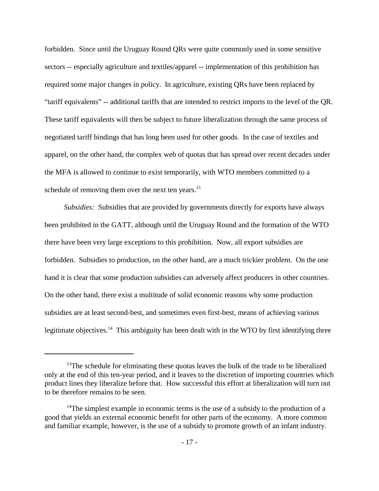forbidden. Since until the Uruguay Round QRs were quite commonly used in some sensitive sectors -- especially agriculture and textiles/apparel -- implementation of this prohibition has required some major changes in policy. In agriculture, existing QRs have been replaced by "tariff equivalents" -- additional tariffs that are intended to restrict imports to the level of the QR. These tariff equivalents will then be subject to future liberalization through the same process of negotiated tariff bindings that has long been used for other goods. In the case of textiles and apparel, on the other hand, the complex web of quotas that has spread over recent decades under the MFA is allowed to continue to exist temporarily, with WTO members committed to a schedule of removing them over the next ten years. $^{13}$ 

*Subsidies:* Subsidies that are provided by governments directly for exports have always been prohibited in the GATT, although until the Uruguay Round and the formation of the WTO there have been very large exceptions to this prohibition. Now, all export subsidies are forbidden. Subsidies to production, on the other hand, are a much trickier problem. On the one hand it is clear that some production subsidies can adversely affect producers in other countries. On the other hand, there exist a multitude of solid economic reasons why some production subsidies are at least second-best, and sometimes even first-best, means of achieving various legitimate objectives.<sup>14</sup> This ambiguity has been dealt with in the WTO by first identifying three

 $13$ The schedule for eliminating these quotas leaves the bulk of the trade to be liberalized only at the end of this ten-year period, and it leaves to the discretion of importing countries which product lines they liberalize before that. How successful this effort at liberalization will turn out to be therefore remains to be seen.

<sup>&</sup>lt;sup>14</sup>The simplest example in economic terms is the use of a subsidy to the production of a good that yields an external economic benefit for other parts of the economy. A more common and familiar example, however, is the use of a subsidy to promote growth of an infant industry.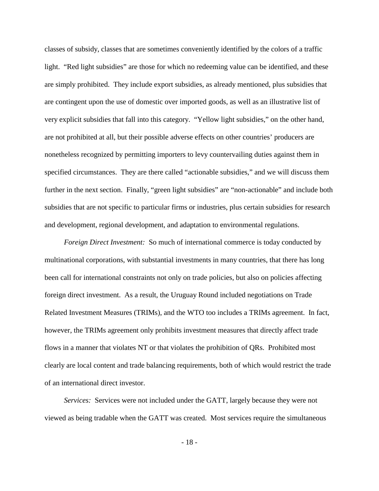classes of subsidy, classes that are sometimes conveniently identified by the colors of a traffic light. "Red light subsidies" are those for which no redeeming value can be identified, and these are simply prohibited. They include export subsidies, as already mentioned, plus subsidies that are contingent upon the use of domestic over imported goods, as well as an illustrative list of very explicit subsidies that fall into this category. "Yellow light subsidies," on the other hand, are not prohibited at all, but their possible adverse effects on other countries' producers are nonetheless recognized by permitting importers to levy countervailing duties against them in specified circumstances. They are there called "actionable subsidies," and we will discuss them further in the next section. Finally, "green light subsidies" are "non-actionable" and include both subsidies that are not specific to particular firms or industries, plus certain subsidies for research and development, regional development, and adaptation to environmental regulations.

*Foreign Direct Investment:* So much of international commerce is today conducted by multinational corporations, with substantial investments in many countries, that there has long been call for international constraints not only on trade policies, but also on policies affecting foreign direct investment. As a result, the Uruguay Round included negotiations on Trade Related Investment Measures (TRIMs), and the WTO too includes a TRIMs agreement. In fact, however, the TRIMs agreement only prohibits investment measures that directly affect trade flows in a manner that violates NT or that violates the prohibition of QRs. Prohibited most clearly are local content and trade balancing requirements, both of which would restrict the trade of an international direct investor.

*Services:* Services were not included under the GATT, largely because they were not viewed as being tradable when the GATT was created. Most services require the simultaneous

- 18 -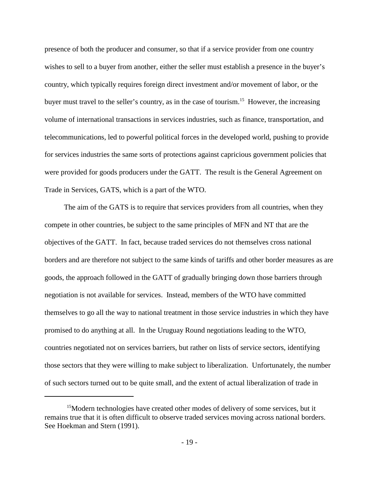presence of both the producer and consumer, so that if a service provider from one country wishes to sell to a buyer from another, either the seller must establish a presence in the buyer's country, which typically requires foreign direct investment and/or movement of labor, or the buyer must travel to the seller's country, as in the case of tourism.<sup>15</sup> However, the increasing volume of international transactions in services industries, such as finance, transportation, and telecommunications, led to powerful political forces in the developed world, pushing to provide for services industries the same sorts of protections against capricious government policies that were provided for goods producers under the GATT. The result is the General Agreement on Trade in Services, GATS, which is a part of the WTO.

The aim of the GATS is to require that services providers from all countries, when they compete in other countries, be subject to the same principles of MFN and NT that are the objectives of the GATT. In fact, because traded services do not themselves cross national borders and are therefore not subject to the same kinds of tariffs and other border measures as are goods, the approach followed in the GATT of gradually bringing down those barriers through negotiation is not available for services. Instead, members of the WTO have committed themselves to go all the way to national treatment in those service industries in which they have promised to do anything at all. In the Uruguay Round negotiations leading to the WTO, countries negotiated not on services barriers, but rather on lists of service sectors, identifying those sectors that they were willing to make subject to liberalization. Unfortunately, the number of such sectors turned out to be quite small, and the extent of actual liberalization of trade in

 $15$ Modern technologies have created other modes of delivery of some services, but it remains true that it is often difficult to observe traded services moving across national borders. See Hoekman and Stern (1991).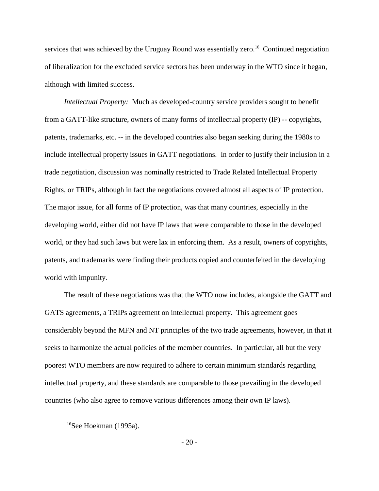services that was achieved by the Uruguay Round was essentially zero.<sup>16</sup> Continued negotiation of liberalization for the excluded service sectors has been underway in the WTO since it began, although with limited success.

*Intellectual Property:* Much as developed-country service providers sought to benefit from a GATT-like structure, owners of many forms of intellectual property (IP) -- copyrights, patents, trademarks, etc. -- in the developed countries also began seeking during the 1980s to include intellectual property issues in GATT negotiations. In order to justify their inclusion in a trade negotiation, discussion was nominally restricted to Trade Related Intellectual Property Rights, or TRIPs, although in fact the negotiations covered almost all aspects of IP protection. The major issue, for all forms of IP protection, was that many countries, especially in the developing world, either did not have IP laws that were comparable to those in the developed world, or they had such laws but were lax in enforcing them. As a result, owners of copyrights, patents, and trademarks were finding their products copied and counterfeited in the developing world with impunity.

The result of these negotiations was that the WTO now includes, alongside the GATT and GATS agreements, a TRIPs agreement on intellectual property. This agreement goes considerably beyond the MFN and NT principles of the two trade agreements, however, in that it seeks to harmonize the actual policies of the member countries. In particular, all but the very poorest WTO members are now required to adhere to certain minimum standards regarding intellectual property, and these standards are comparable to those prevailing in the developed countries (who also agree to remove various differences among their own IP laws).

 $16$ See Hoekman (1995a).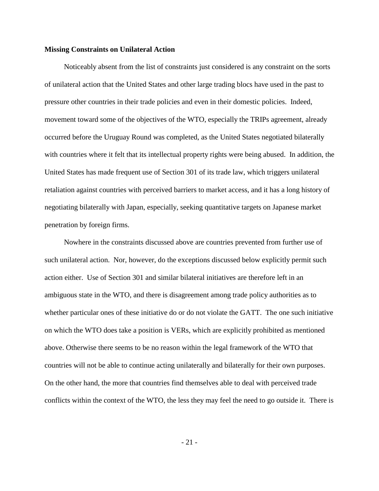#### **Missing Constraints on Unilateral Action**

Noticeably absent from the list of constraints just considered is any constraint on the sorts of unilateral action that the United States and other large trading blocs have used in the past to pressure other countries in their trade policies and even in their domestic policies. Indeed, movement toward some of the objectives of the WTO, especially the TRIPs agreement, already occurred before the Uruguay Round was completed, as the United States negotiated bilaterally with countries where it felt that its intellectual property rights were being abused. In addition, the United States has made frequent use of Section 301 of its trade law, which triggers unilateral retaliation against countries with perceived barriers to market access, and it has a long history of negotiating bilaterally with Japan, especially, seeking quantitative targets on Japanese market penetration by foreign firms.

Nowhere in the constraints discussed above are countries prevented from further use of such unilateral action. Nor, however, do the exceptions discussed below explicitly permit such action either. Use of Section 301 and similar bilateral initiatives are therefore left in an ambiguous state in the WTO, and there is disagreement among trade policy authorities as to whether particular ones of these initiative do or do not violate the GATT. The one such initiative on which the WTO does take a position is VERs, which are explicitly prohibited as mentioned above. Otherwise there seems to be no reason within the legal framework of the WTO that countries will not be able to continue acting unilaterally and bilaterally for their own purposes. On the other hand, the more that countries find themselves able to deal with perceived trade conflicts within the context of the WTO, the less they may feel the need to go outside it. There is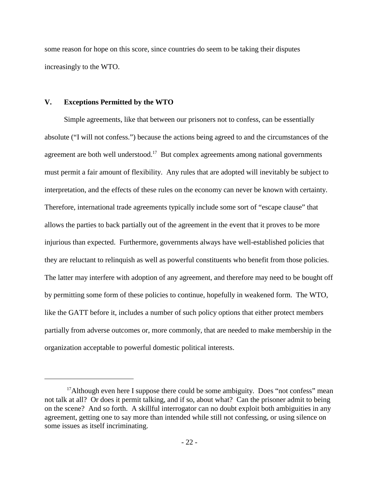some reason for hope on this score, since countries do seem to be taking their disputes increasingly to the WTO.

#### **V. Exceptions Permitted by the WTO**

Simple agreements, like that between our prisoners not to confess, can be essentially absolute ("I will not confess.") because the actions being agreed to and the circumstances of the agreement are both well understood.<sup>17</sup> But complex agreements among national governments must permit a fair amount of flexibility. Any rules that are adopted will inevitably be subject to interpretation, and the effects of these rules on the economy can never be known with certainty. Therefore, international trade agreements typically include some sort of "escape clause" that allows the parties to back partially out of the agreement in the event that it proves to be more injurious than expected. Furthermore, governments always have well-established policies that they are reluctant to relinquish as well as powerful constituents who benefit from those policies. The latter may interfere with adoption of any agreement, and therefore may need to be bought off by permitting some form of these policies to continue, hopefully in weakened form. The WTO, like the GATT before it, includes a number of such policy options that either protect members partially from adverse outcomes or, more commonly, that are needed to make membership in the organization acceptable to powerful domestic political interests.

<sup>&</sup>lt;sup>17</sup> Although even here I suppose there could be some ambiguity. Does "not confess" mean not talk at all? Or does it permit talking, and if so, about what? Can the prisoner admit to being on the scene? And so forth. A skillful interrogator can no doubt exploit both ambiguities in any agreement, getting one to say more than intended while still not confessing, or using silence on some issues as itself incriminating.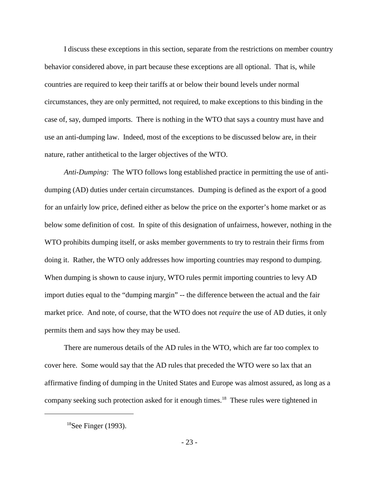I discuss these exceptions in this section, separate from the restrictions on member country behavior considered above, in part because these exceptions are all optional. That is, while countries are required to keep their tariffs at or below their bound levels under normal circumstances, they are only permitted, not required, to make exceptions to this binding in the case of, say, dumped imports. There is nothing in the WTO that says a country must have and use an anti-dumping law. Indeed, most of the exceptions to be discussed below are, in their nature, rather antithetical to the larger objectives of the WTO.

*Anti-Dumping:* The WTO follows long established practice in permitting the use of antidumping (AD) duties under certain circumstances. Dumping is defined as the export of a good for an unfairly low price, defined either as below the price on the exporter's home market or as below some definition of cost. In spite of this designation of unfairness, however, nothing in the WTO prohibits dumping itself, or asks member governments to try to restrain their firms from doing it. Rather, the WTO only addresses how importing countries may respond to dumping. When dumping is shown to cause injury, WTO rules permit importing countries to levy AD import duties equal to the "dumping margin" -- the difference between the actual and the fair market price. And note, of course, that the WTO does not *require* the use of AD duties, it only permits them and says how they may be used.

There are numerous details of the AD rules in the WTO, which are far too complex to cover here. Some would say that the AD rules that preceded the WTO were so lax that an affirmative finding of dumping in the United States and Europe was almost assured, as long as a company seeking such protection asked for it enough times.<sup>18</sup> These rules were tightened in

 ${}^{18}$ See Finger (1993).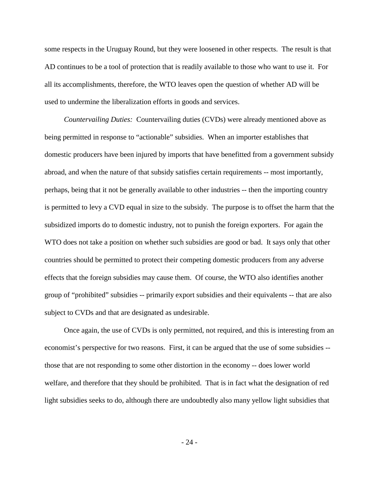some respects in the Uruguay Round, but they were loosened in other respects. The result is that AD continues to be a tool of protection that is readily available to those who want to use it. For all its accomplishments, therefore, the WTO leaves open the question of whether AD will be used to undermine the liberalization efforts in goods and services.

*Countervailing Duties:* Countervailing duties (CVDs) were already mentioned above as being permitted in response to "actionable" subsidies. When an importer establishes that domestic producers have been injured by imports that have benefitted from a government subsidy abroad, and when the nature of that subsidy satisfies certain requirements -- most importantly, perhaps, being that it not be generally available to other industries -- then the importing country is permitted to levy a CVD equal in size to the subsidy. The purpose is to offset the harm that the subsidized imports do to domestic industry, not to punish the foreign exporters. For again the WTO does not take a position on whether such subsidies are good or bad. It says only that other countries should be permitted to protect their competing domestic producers from any adverse effects that the foreign subsidies may cause them. Of course, the WTO also identifies another group of "prohibited" subsidies -- primarily export subsidies and their equivalents -- that are also subject to CVDs and that are designated as undesirable.

Once again, the use of CVDs is only permitted, not required, and this is interesting from an economist's perspective for two reasons. First, it can be argued that the use of some subsidies - those that are not responding to some other distortion in the economy -- does lower world welfare, and therefore that they should be prohibited. That is in fact what the designation of red light subsidies seeks to do, although there are undoubtedly also many yellow light subsidies that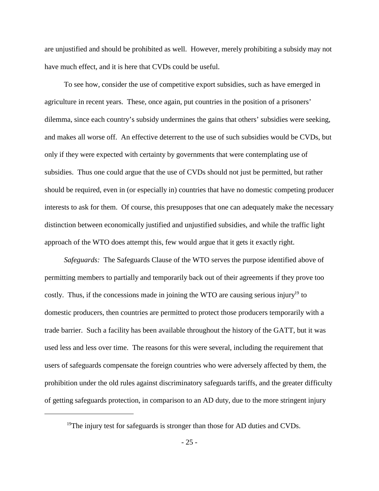are unjustified and should be prohibited as well. However, merely prohibiting a subsidy may not have much effect, and it is here that CVDs could be useful.

To see how, consider the use of competitive export subsidies, such as have emerged in agriculture in recent years. These, once again, put countries in the position of a prisoners' dilemma, since each country's subsidy undermines the gains that others' subsidies were seeking, and makes all worse off. An effective deterrent to the use of such subsidies would be CVDs, but only if they were expected with certainty by governments that were contemplating use of subsidies. Thus one could argue that the use of CVDs should not just be permitted, but rather should be required, even in (or especially in) countries that have no domestic competing producer interests to ask for them. Of course, this presupposes that one can adequately make the necessary distinction between economically justified and unjustified subsidies, and while the traffic light approach of the WTO does attempt this, few would argue that it gets it exactly right.

*Safeguards:* The Safeguards Clause of the WTO serves the purpose identified above of permitting members to partially and temporarily back out of their agreements if they prove too costly. Thus, if the concessions made in joining the WTO are causing serious injury<sup>19</sup> to domestic producers, then countries are permitted to protect those producers temporarily with a trade barrier. Such a facility has been available throughout the history of the GATT, but it was used less and less over time. The reasons for this were several, including the requirement that users of safeguards compensate the foreign countries who were adversely affected by them, the prohibition under the old rules against discriminatory safeguards tariffs, and the greater difficulty of getting safeguards protection, in comparison to an AD duty, due to the more stringent injury

<sup>&</sup>lt;sup>19</sup>The injury test for safeguards is stronger than those for AD duties and CVDs.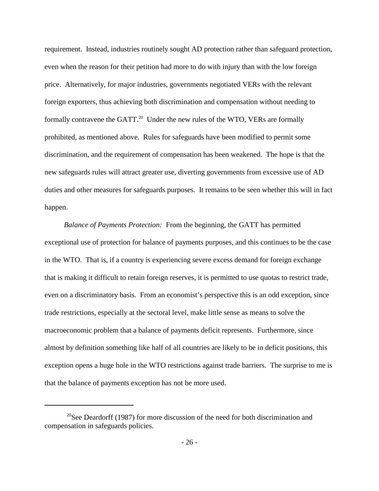requirement. Instead, industries routinely sought AD protection rather than safeguard protection, even when the reason for their petition had more to do with injury than with the low foreign price. Alternatively, for major industries, governments negotiated VERs with the relevant foreign exporters, thus achieving both discrimination and compensation without needing to formally contravene the GATT.<sup>20</sup> Under the new rules of the WTO, VERs are formally prohibited, as mentioned above. Rules for safeguards have been modified to permit some discrimination, and the requirement of compensation has been weakened. The hope is that the new safeguards rules will attract greater use, diverting governments from excessive use of AD duties and other measures for safeguards purposes. It remains to be seen whether this will in fact happen.

*Balance of Payments Protection:* From the beginning, the GATT has permitted exceptional use of protection for balance of payments purposes, and this continues to be the case in the WTO. That is, if a country is experiencing severe excess demand for foreign exchange that is making it difficult to retain foreign reserves, it is permitted to use quotas to restrict trade, even on a discriminatory basis. From an economist's perspective this is an odd exception, since trade restrictions, especially at the sectoral level, make little sense as means to solve the macroeconomic problem that a balance of payments deficit represents. Furthermore, since almost by definition something like half of all countries are likely to be in deficit positions, this exception opens a huge hole in the WTO restrictions against trade barriers. The surprise to me is that the balance of payments exception has not be more used.

 $20$ See Deardorff (1987) for more discussion of the need for both discrimination and compensation in safeguards policies.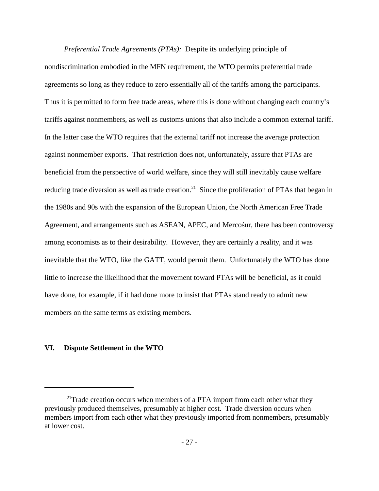*Preferential Trade Agreements (PTAs):* Despite its underlying principle of nondiscrimination embodied in the MFN requirement, the WTO permits preferential trade agreements so long as they reduce to zero essentially all of the tariffs among the participants. Thus it is permitted to form free trade areas, where this is done without changing each country's tariffs against nonmembers, as well as customs unions that also include a common external tariff. In the latter case the WTO requires that the external tariff not increase the average protection against nonmember exports. That restriction does not, unfortunately, assure that PTAs are beneficial from the perspective of world welfare, since they will still inevitably cause welfare reducing trade diversion as well as trade creation.<sup>21</sup> Since the proliferation of PTAs that began in the 1980s and 90s with the expansion of the European Union, the North American Free Trade Agreement, and arrangements such as ASEAN, APEC, and Mercosur, there has been controversy among economists as to their desirability. However, they are certainly a reality, and it was inevitable that the WTO, like the GATT, would permit them. Unfortunately the WTO has done little to increase the likelihood that the movement toward PTAs will be beneficial, as it could have done, for example, if it had done more to insist that PTAs stand ready to admit new members on the same terms as existing members.

### **VI. Dispute Settlement in the WTO**

 $21$ Trade creation occurs when members of a PTA import from each other what they previously produced themselves, presumably at higher cost. Trade diversion occurs when members import from each other what they previously imported from nonmembers, presumably at lower cost.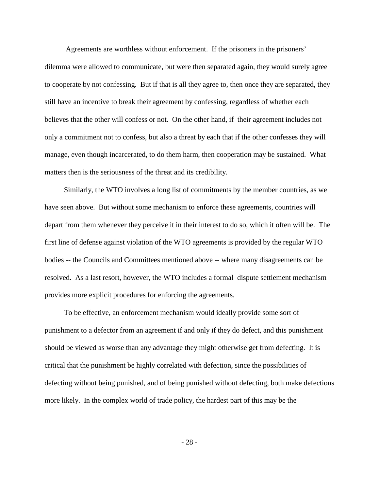Agreements are worthless without enforcement. If the prisoners in the prisoners' dilemma were allowed to communicate, but were then separated again, they would surely agree to cooperate by not confessing. But if that is all they agree to, then once they are separated, they still have an incentive to break their agreement by confessing, regardless of whether each believes that the other will confess or not. On the other hand, if their agreement includes not only a commitment not to confess, but also a threat by each that if the other confesses they will manage, even though incarcerated, to do them harm, then cooperation may be sustained. What matters then is the seriousness of the threat and its credibility.

Similarly, the WTO involves a long list of commitments by the member countries, as we have seen above. But without some mechanism to enforce these agreements, countries will depart from them whenever they perceive it in their interest to do so, which it often will be. The first line of defense against violation of the WTO agreements is provided by the regular WTO bodies -- the Councils and Committees mentioned above -- where many disagreements can be resolved. As a last resort, however, the WTO includes a formal dispute settlement mechanism provides more explicit procedures for enforcing the agreements.

To be effective, an enforcement mechanism would ideally provide some sort of punishment to a defector from an agreement if and only if they do defect, and this punishment should be viewed as worse than any advantage they might otherwise get from defecting. It is critical that the punishment be highly correlated with defection, since the possibilities of defecting without being punished, and of being punished without defecting, both make defections more likely. In the complex world of trade policy, the hardest part of this may be the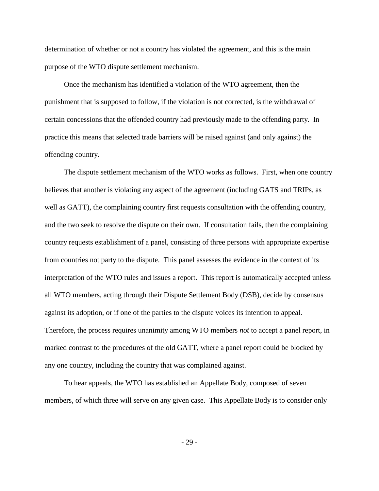determination of whether or not a country has violated the agreement, and this is the main purpose of the WTO dispute settlement mechanism.

Once the mechanism has identified a violation of the WTO agreement, then the punishment that is supposed to follow, if the violation is not corrected, is the withdrawal of certain concessions that the offended country had previously made to the offending party. In practice this means that selected trade barriers will be raised against (and only against) the offending country.

The dispute settlement mechanism of the WTO works as follows. First, when one country believes that another is violating any aspect of the agreement (including GATS and TRIPs, as well as GATT), the complaining country first requests consultation with the offending country, and the two seek to resolve the dispute on their own. If consultation fails, then the complaining country requests establishment of a panel, consisting of three persons with appropriate expertise from countries not party to the dispute. This panel assesses the evidence in the context of its interpretation of the WTO rules and issues a report. This report is automatically accepted unless all WTO members, acting through their Dispute Settlement Body (DSB), decide by consensus against its adoption, or if one of the parties to the dispute voices its intention to appeal. Therefore, the process requires unanimity among WTO members *not* to accept a panel report, in marked contrast to the procedures of the old GATT, where a panel report could be blocked by any one country, including the country that was complained against.

To hear appeals, the WTO has established an Appellate Body, composed of seven members, of which three will serve on any given case. This Appellate Body is to consider only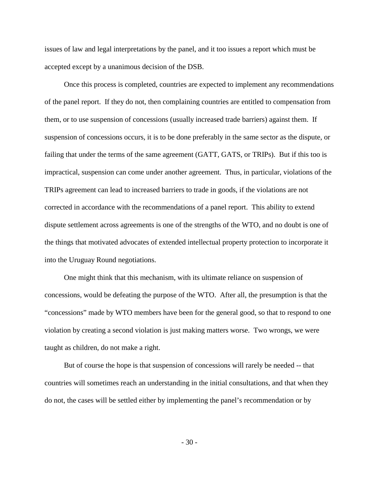issues of law and legal interpretations by the panel, and it too issues a report which must be accepted except by a unanimous decision of the DSB.

Once this process is completed, countries are expected to implement any recommendations of the panel report. If they do not, then complaining countries are entitled to compensation from them, or to use suspension of concessions (usually increased trade barriers) against them. If suspension of concessions occurs, it is to be done preferably in the same sector as the dispute, or failing that under the terms of the same agreement (GATT, GATS, or TRIPs). But if this too is impractical, suspension can come under another agreement. Thus, in particular, violations of the TRIPs agreement can lead to increased barriers to trade in goods, if the violations are not corrected in accordance with the recommendations of a panel report. This ability to extend dispute settlement across agreements is one of the strengths of the WTO, and no doubt is one of the things that motivated advocates of extended intellectual property protection to incorporate it into the Uruguay Round negotiations.

One might think that this mechanism, with its ultimate reliance on suspension of concessions, would be defeating the purpose of the WTO. After all, the presumption is that the "concessions" made by WTO members have been for the general good, so that to respond to one violation by creating a second violation is just making matters worse. Two wrongs, we were taught as children, do not make a right.

But of course the hope is that suspension of concessions will rarely be needed -- that countries will sometimes reach an understanding in the initial consultations, and that when they do not, the cases will be settled either by implementing the panel's recommendation or by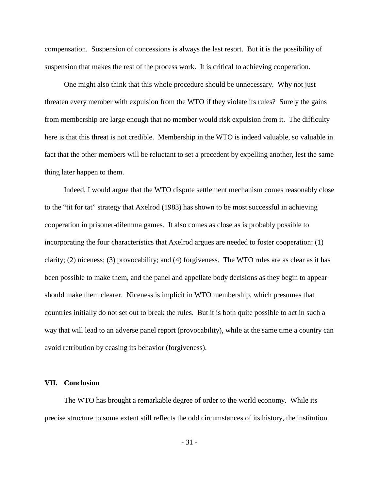compensation. Suspension of concessions is always the last resort. But it is the possibility of suspension that makes the rest of the process work. It is critical to achieving cooperation.

One might also think that this whole procedure should be unnecessary. Why not just threaten every member with expulsion from the WTO if they violate its rules? Surely the gains from membership are large enough that no member would risk expulsion from it. The difficulty here is that this threat is not credible. Membership in the WTO is indeed valuable, so valuable in fact that the other members will be reluctant to set a precedent by expelling another, lest the same thing later happen to them.

Indeed, I would argue that the WTO dispute settlement mechanism comes reasonably close to the "tit for tat" strategy that Axelrod (1983) has shown to be most successful in achieving cooperation in prisoner-dilemma games. It also comes as close as is probably possible to incorporating the four characteristics that Axelrod argues are needed to foster cooperation: (1) clarity; (2) niceness; (3) provocability; and (4) forgiveness. The WTO rules are as clear as it has been possible to make them, and the panel and appellate body decisions as they begin to appear should make them clearer. Niceness is implicit in WTO membership, which presumes that countries initially do not set out to break the rules. But it is both quite possible to act in such a way that will lead to an adverse panel report (provocability), while at the same time a country can avoid retribution by ceasing its behavior (forgiveness).

#### **VII. Conclusion**

The WTO has brought a remarkable degree of order to the world economy. While its precise structure to some extent still reflects the odd circumstances of its history, the institution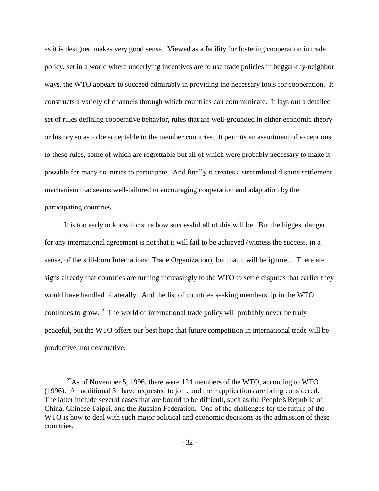as it is designed makes very good sense. Viewed as a facility for fostering cooperation in trade policy, set in a world where underlying incentives are to use trade policies in beggar-thy-neighbor ways, the WTO appears to succeed admirably in providing the necessary tools for cooperation. It constructs a variety of channels through which countries can communicate. It lays out a detailed set of rules defining cooperative behavior, rules that are well-grounded in either economic theory or history so as to be acceptable to the member countries. It permits an assortment of exceptions to these rules, some of which are regrettable but all of which were probably necessary to make it possible for many countries to participate. And finally it creates a streamlined dispute settlement mechanism that seems well-tailored to encouraging cooperation and adaptation by the participating countries.

It is too early to know for sure how successful all of this will be. But the biggest danger for any international agreement is not that it will fail to be achieved (witness the success, in a sense, of the still-born International Trade Organization), but that it will be ignored. There are signs already that countries are turning increasingly to the WTO to settle disputes that earlier they would have handled bilaterally. And the list of countries seeking membership in the WTO continues to grow.<sup>22</sup> The world of international trade policy will probably never be truly peaceful, but the WTO offers our best hope that future competition in international trade will be productive, not destructive.

 $^{22}$ As of November 5, 1996, there were 124 members of the WTO, according to WTO (1996). An additional 31 have requested to join, and their applications are being considered. The latter include several cases that are bound to be difficult, such as the People's Republic of China, Chinese Taipei, and the Russian Federation. One of the challenges for the future of the WTO is how to deal with such major political and economic decisions as the admission of these countries.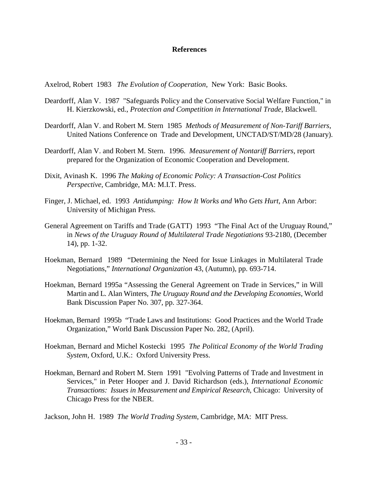#### **References**

Axelrod, Robert 1983 *The Evolution of Cooperation*, New York: Basic Books.

- Deardorff, Alan V. 1987 "Safeguards Policy and the Conservative Social Welfare Function," in H. Kierzkowski, ed., *Protection and Competition in International Trade*, Blackwell.
- Deardorff, Alan V. and Robert M. Stern 1985 *Methods of Measurement of Non-Tariff Barriers*, United Nations Conference on Trade and Development, UNCTAD/ST/MD/28 (January).
- Deardorff, Alan V. and Robert M. Stern. 1996. *Measurement of Nontariff Barriers*, report prepared for the Organization of Economic Cooperation and Development.
- Dixit, Avinash K. 1996 *The Making of Economic Policy: A Transaction-Cost Politics Perspective*, Cambridge, MA: M.I.T. Press.
- Finger, J. Michael, ed. 1993 *Antidumping: How It Works and Who Gets Hurt*, Ann Arbor: University of Michigan Press.
- General Agreement on Tariffs and Trade (GATT) 1993 "The Final Act of the Uruguay Round," in *News of the Uruguay Round of Multilateral Trade Negotiations* 93-2180, (December 14), pp. 1-32.
- Hoekman, Bernard 1989 "Determining the Need for Issue Linkages in Multilateral Trade Negotiations," *International Organization* 43, (Autumn), pp. 693-714.
- Hoekman, Bernard 1995a "Assessing the General Agreement on Trade in Services," in Will Martin and L. Alan Winters, *The Uruguay Round and the Developing Economies*, World Bank Discussion Paper No. 307, pp. 327-364.
- Hoekman, Bernard 1995b "Trade Laws and Institutions: Good Practices and the World Trade Organization," World Bank Discussion Paper No. 282, (April).
- Hoekman, Bernard and Michel Kostecki 1995 *The Political Economy of the World Trading System*, Oxford, U.K.: Oxford University Press.
- Hoekman, Bernard and Robert M. Stern 1991 "Evolving Patterns of Trade and Investment in Services," in Peter Hooper and J. David Richardson (eds.), *International Economic Transactions: Issues in Measurement and Empirical Research*, Chicago: University of Chicago Press for the NBER.

Jackson, John H. 1989 *The World Trading System*, Cambridge, MA: MIT Press.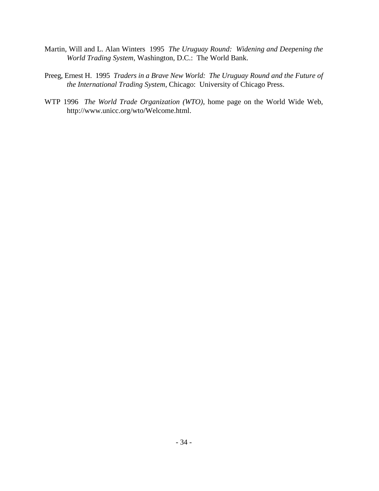- Martin, Will and L. Alan Winters 1995 *The Uruguay Round: Widening and Deepening the World Trading System*, Washington, D.C.: The World Bank.
- Preeg, Ernest H. 1995 *Traders in a Brave New World: The Uruguay Round and the Future of the International Trading System*, Chicago: University of Chicago Press.
- WTP 1996 *The World Trade Organization (WTO)*, home page on the World Wide Web, http://www.unicc.org/wto/Welcome.html.